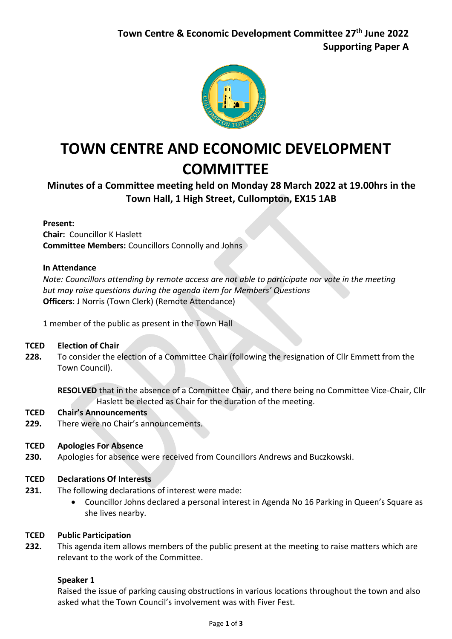

# **TOWN CENTRE AND ECONOMIC DEVELOPMENT COMMITTEE**

**Minutes of a Committee meeting held on Monday 28 March 2022 at 19.00hrs in the Town Hall, 1 High Street, Cullompton, EX15 1AB**

### **Present:**

**Chair:** Councillor K Haslett **Committee Members:** Councillors Connolly and Johns

### **In Attendance**

*Note: Councillors attending by remote access are not able to participate nor vote in the meeting but may raise questions during the agenda item for Members' Questions* **Officers**: J Norris (Town Clerk) (Remote Attendance)

1 member of the public as present in the Town Hall

#### **TCED Election of Chair**

**228.** To consider the election of a Committee Chair (following the resignation of Cllr Emmett from the Town Council).

**RESOLVED** that in the absence of a Committee Chair, and there being no Committee Vice-Chair, Cllr Haslett be elected as Chair for the duration of the meeting.

#### **TCED Chair's Announcements**

**229.** There were no Chair's announcements.

#### **TCED Apologies For Absence**

**230.**  Apologies for absence were received from Councillors Andrews and Buczkowski.

#### **TCED Declarations Of Interests**

- The following declarations of interest were made:
	- Councillor Johns declared a personal interest in Agenda No 16 Parking in Queen's Square as she lives nearby.

#### **TCED Public Participation**

**231.**

**232.** This agenda item allows members of the public present at the meeting to raise matters which are relevant to the work of the Committee.

### **Speaker 1**

Raised the issue of parking causing obstructions in various locations throughout the town and also asked what the Town Council's involvement was with Fiver Fest.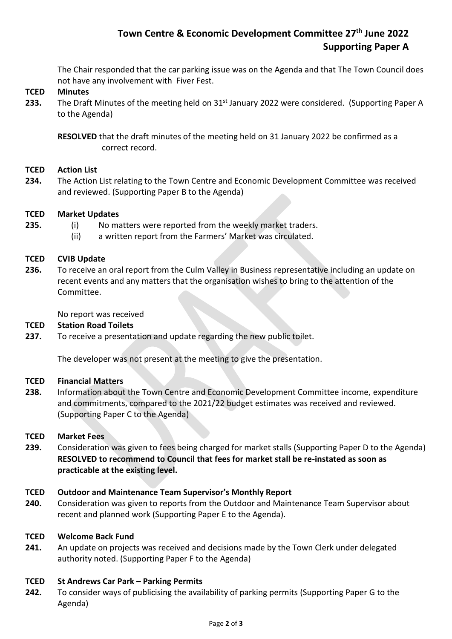## **Town Centre & Economic Development Committee 27 th June 2022 Supporting Paper A**

The Chair responded that the car parking issue was on the Agenda and that The Town Council does not have any involvement with Fiver Fest.

#### **TCED Minutes**

**233.** The Draft Minutes of the meeting held on 31<sup>st</sup> January 2022 were considered. (Supporting Paper A to the Agenda)

**RESOLVED** that the draft minutes of the meeting held on 31 January 2022 be confirmed as a correct record.

#### **TCED Action List**

**234.** The Action List relating to the Town Centre and Economic Development Committee was received and reviewed. (Supporting Paper B to the Agenda)

#### **TCED Market Updates**

- (i) No matters were reported from the weekly market traders.
- (ii) a written report from the Farmers' Market was circulated.

#### **TCED CVIB Update**

**235.**

**236.**  To receive an oral report from the Culm Valley in Business representative including an update on recent events and any matters that the organisation wishes to bring to the attention of the Committee.

No report was received

#### **TCED Station Road Toilets**

**237.** To receive a presentation and update regarding the new public toilet.

The developer was not present at the meeting to give the presentation.

#### **TCED Financial Matters**

**238.** Information about the Town Centre and Economic Development Committee income, expenditure and commitments, compared to the 2021/22 budget estimates was received and reviewed. (Supporting Paper C to the Agenda)

#### **TCED Market Fees**

**239.** Consideration was given to fees being charged for market stalls (Supporting Paper D to the Agenda) **RESOLVED to recommend to Council that fees for market stall be re-instated as soon as practicable at the existing level.** 

#### **TCED Outdoor and Maintenance Team Supervisor's Monthly Report**

**240.** Consideration was given to reports from the Outdoor and Maintenance Team Supervisor about recent and planned work (Supporting Paper E to the Agenda).

#### **TCED Welcome Back Fund**

**241.** An update on projects was received and decisions made by the Town Clerk under delegated authority noted. (Supporting Paper F to the Agenda)

#### **TCED St Andrews Car Park – Parking Permits**

**242.** To consider ways of publicising the availability of parking permits (Supporting Paper G to the Agenda)